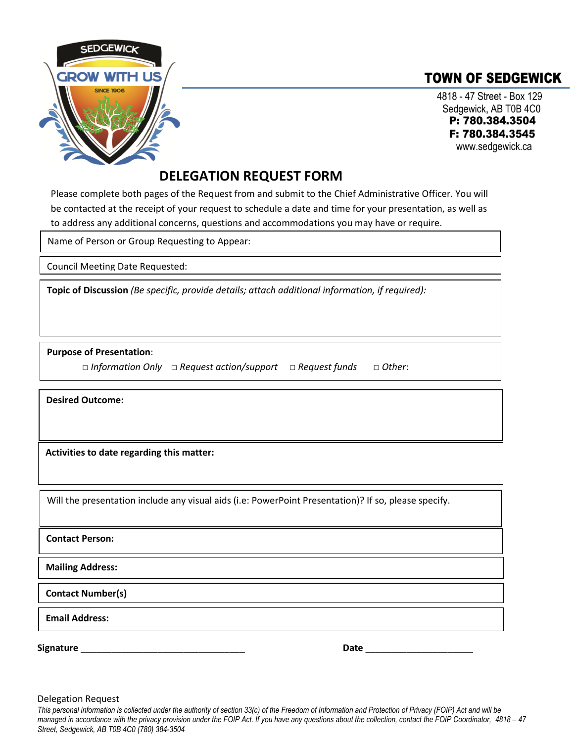

## **TOWN OF SEDGEWICK**

4818 - 47 Street - Box 129 Sedgewick, AB T0B 4C0 P: 780.384.3504 F: 780.384.3545 www.sedgewick.ca

## **DELEGATION REQUEST FORM**

Please complete both pages of the Request from and submit to the Chief Administrative Officer. You will be contacted at the receipt of your request to schedule a date and time for your presentation, as well as to address any additional concerns, questions and accommodations you may have or require.

Name of Person or Group Requesting to Appear:

Council Meeting Date Requested:

**Topic of Discussion** *(Be specific, provide details; attach additional information, if required):*

**Purpose of Presentation**:

 **□** *Information Only* **□** *Request action/support* **□** *Request funds* **□** *Other*:

**Desired Outcome:**

**Activities to date regarding this matter:**

Will the presentation include any visual aids (i.e: PowerPoint Presentation)? If so, please specify.

**Contact Person:**

**Mailing Address:**

**Contact Number(s)**

**Email Address:**

**Signature** \_\_\_\_\_\_\_\_\_\_\_\_\_\_\_\_\_\_\_\_\_\_\_\_\_\_\_\_\_\_\_\_ **Date** \_\_\_\_\_\_\_\_\_\_\_\_\_\_\_\_\_\_\_\_\_

Delegation Request

*This personal information is collected under the authority of section 33(c) of the Freedom of Information and Protection of Privacy (FOIP) Act and will be managed in accordance with the privacy provision under the FOIP Act. If you have any questions about the collection, contact the FOIP Coordinator, 4818 – 47 Street, Sedgewick, AB T0B 4C0 (780) 384-3504*